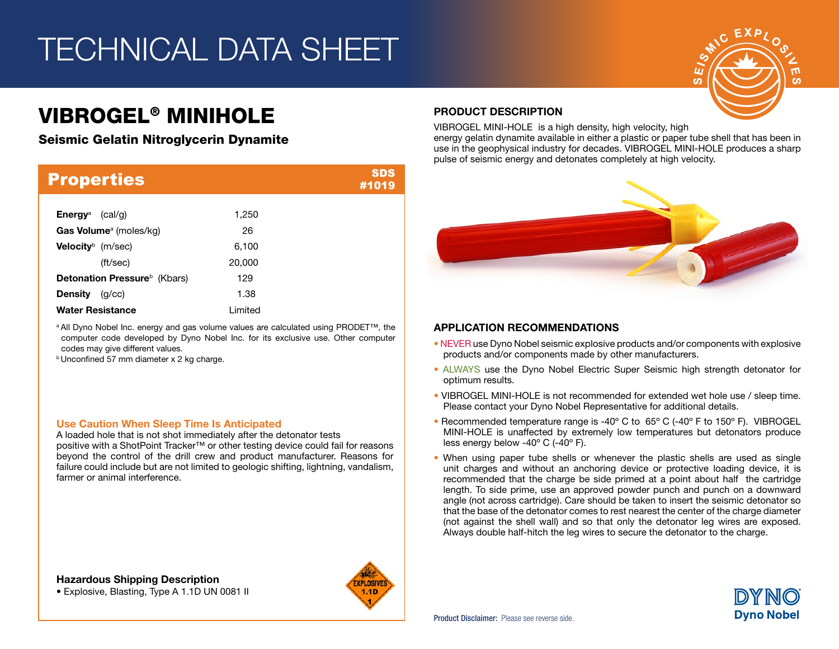## TECHNICAL DATA SHEET

## VIBROGEL® MINIHOLE

### Seismic Gelatin Nitroglycerin Dynamite

| <b>Properties</b>                        |          | <b>SDS</b><br>#1019 |
|------------------------------------------|----------|---------------------|
| <b>Energy</b> <sup>a</sup><br>(cal/q)    | 1.250    |                     |
| Gas Volume <sup>a</sup> (moles/kg)       | 26       |                     |
| <b>Velocity</b> $^{\circ}$ (m/sec)       | 6,100    |                     |
| (ft/sec)                                 | 20,000   |                     |
| Detonation Pressure <sup>b</sup> (Kbars) | 129      |                     |
| <b>Density</b><br>(q/cc)                 | 1.38     |                     |
| <b>Water Resistance</b>                  | I imited |                     |

a All Dyno Nobel Inc. energy and gas volume values are calculated using PRODET™, the computer code developed by Dyno Nobel Inc. for its exclusive use. Other computer codes may give different values.

**b Unconfined 57 mm diameter x 2 kg charge.** 

#### Use Caution When Sleep Time Is Anticipated

A loaded hole that is not shot immediately after the detonator tests positive with a ShotPoint Tracker™ or other testing device could fail for reasons beyond the control of the drill crew and product manufacturer. Reasons for failure could include but are not limited to geologic shifting, lightning, vandalism, farmer or animal interference.

Hazardous Shipping Description • Explosive, Blasting, Type A 1.1D UN 0081 II



### PRODUCT DESCRIPTION

VIBROGEL MINI-HOLE is a high density, high velocity, high energy gelatin dynamite available in either a plastic or paper tube shell that has been in use in the geophysical industry for decades. VIBROGEL MINI-HOLE produces a sharp pulse of seismic energy and detonates completely at high velocity.



### APPLICATION RECOMMENDATIONS

- NEVER use Dyno Nobel seismic explosive products and/or components with explosive products and/or components made by other manufacturers.
- ALWAYS use the Dyno Nobel Electric Super Seismic high strength detonator for optimum results.
- VIBROGEL MINI-HOLE is not recommended for extended wet hole use / sleep time. Please contact your Dyno Nobel Representative for additional details.
- Recommended temperature range is -40º C to 65º C (-40º F to 150º F). VIBROGEL MINI-HOLE is unaffected by extremely low temperatures but detonators produce less energy below -40º C (-40º F).
- When using paper tube shells or whenever the plastic shells are used as single unit charges and without an anchoring device or protective loading device, it is recommended that the charge be side primed at a point about half the cartridge length. To side prime, use an approved powder punch and punch on a downward angle (not across cartridge). Care should be taken to insert the seismic detonator so that the base of the detonator comes to rest nearest the center of the charge diameter (not against the shell wall) and so that only the detonator leg wires are exposed. Always double half-hitch the leg wires to secure the detonator to the charge.